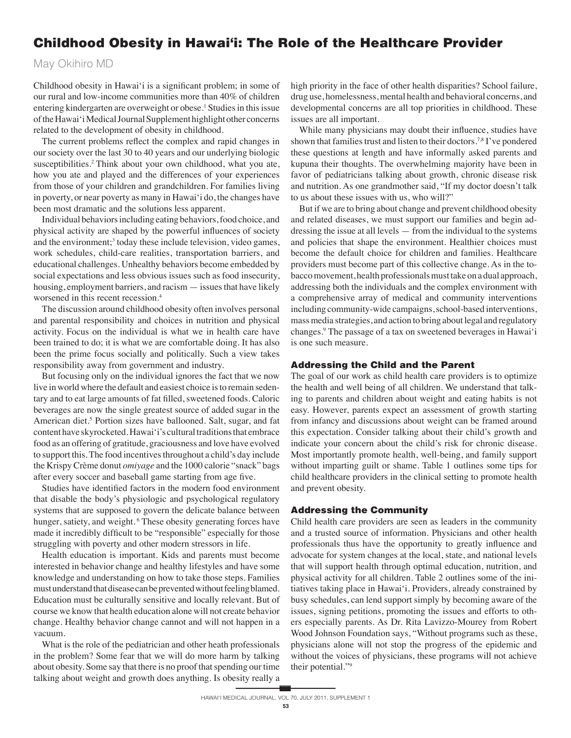# Childhood Obesity in Hawai'i: The Role of the Healthcare Provider

May Okihiro MD

Childhood obesity in Hawai'i is a significant problem; in some of our rural and low-income communities more than 40% of children entering kindergarten are overweight or obese.<sup>1</sup> Studies in this issue of the Hawai'i Medical Journal Supplement highlight other concerns related to the development of obesity in childhood.

The current problems reflect the complex and rapid changes in our society over the last 30 to 40 years and our underlying biologic susceptibilities.2 Think about your own childhood, what you ate, how you ate and played and the differences of your experiences from those of your children and grandchildren. For families living in poverty, or near poverty as many in Hawai'i do, the changes have been most dramatic and the solutions less apparent.

 Individual behaviors including eating behaviors, food choice, and physical activity are shaped by the powerful influences of society and the environment;<sup>3</sup> today these include television, video games, work schedules, child-care realities, transportation barriers, and educational challenges. Unhealthy behaviors become embedded by social expectations and less obvious issues such as food insecurity, housing, employment barriers, and racism — issues that have likely worsened in this recent recession.4

 The discussion around childhood obesity often involves personal and parental responsibility and choices in nutrition and physical activity. Focus on the individual is what we in health care have been trained to do; it is what we are comfortable doing. It has also been the prime focus socially and politically. Such a view takes responsibility away from government and industry.

 But focusing only on the individual ignores the fact that we now live in world where the default and easiest choice is to remain sedentary and to eat large amounts of fat filled, sweetened foods. Caloric beverages are now the single greatest source of added sugar in the American diet.<sup>5</sup> Portion sizes have ballooned. Salt, sugar, and fat content have skyrocketed. Hawai'i's cultural traditions that embrace food as an offering of gratitude, graciousness and love have evolved to support this. The food incentives throughout a child's day include the Krispy Crème donut *omiyage* and the 1000 calorie "snack" bags after every soccer and baseball game starting from age five.

Studies have identified factors in the modern food environment that disable the body's physiologic and psychological regulatory systems that are supposed to govern the delicate balance between hunger, satiety, and weight.<sup>6</sup> These obesity generating forces have made it incredibly difficult to be "responsible" especially for those struggling with poverty and other modern stressors in life.

 Health education is important. Kids and parents must become interested in behavior change and healthy lifestyles and have some knowledge and understanding on how to take those steps. Families must understand that disease can be prevented without feeling blamed. Education must be culturally sensitive and locally relevant. But of course we know that health education alone will not create behavior change. Healthy behavior change cannot and will not happen in a vacuum.

 What is the role of the pediatrician and other heath professionals in the problem? Some fear that we will do more harm by talking about obesity. Some say that there is no proof that spending our time talking about weight and growth does anything. Is obesity really a

high priority in the face of other health disparities? School failure, drug use, homelessness, mental health and behavioral concerns, and developmental concerns are all top priorities in childhood. These issues are all important.

While many physicians may doubt their influence, studies have shown that families trust and listen to their doctors.7,8 I've pondered these questions at length and have informally asked parents and kupuna their thoughts. The overwhelming majority have been in favor of pediatricians talking about growth, chronic disease risk and nutrition. As one grandmother said, "If my doctor doesn't talk to us about these issues with us, who will?"

 But if we are to bring about change and prevent childhood obesity and related diseases, we must support our families and begin addressing the issue at all levels — from the individual to the systems and policies that shape the environment. Healthier choices must become the default choice for children and families. Healthcare providers must become part of this collective change. As in the tobacco movement, health professionals must take on a dual approach, addressing both the individuals and the complex environment with a comprehensive array of medical and community interventions including community-wide campaigns, school-based interventions, mass media strategies, and action to bring about legal and regulatory changes.9 The passage of a tax on sweetened beverages in Hawai'i is one such measure.

# Addressing the Child and the Parent

The goal of our work as child health care providers is to optimize the health and well being of all children. We understand that talking to parents and children about weight and eating habits is not easy. However, parents expect an assessment of growth starting from infancy and discussions about weight can be framed around this expectation. Consider talking about their child's growth and indicate your concern about the child's risk for chronic disease. Most importantly promote health, well-being, and family support without imparting guilt or shame. Table 1 outlines some tips for child healthcare providers in the clinical setting to promote health and prevent obesity.

## Addressing the Community

Child health care providers are seen as leaders in the community and a trusted source of information. Physicians and other health professionals thus have the opportunity to greatly influence and advocate for system changes at the local, state, and national levels that will support health through optimal education, nutrition, and physical activity for all children. Table 2 outlines some of the initiatives taking place in Hawai'i. Providers, already constrained by busy schedules, can lend support simply by becoming aware of the issues, signing petitions, promoting the issues and efforts to others especially parents. As Dr. Rita Lavizzo-Mourey from Robert Wood Johnson Foundation says, "Without programs such as these, physicians alone will not stop the progress of the epidemic and without the voices of physicians, these programs will not achieve their potential."9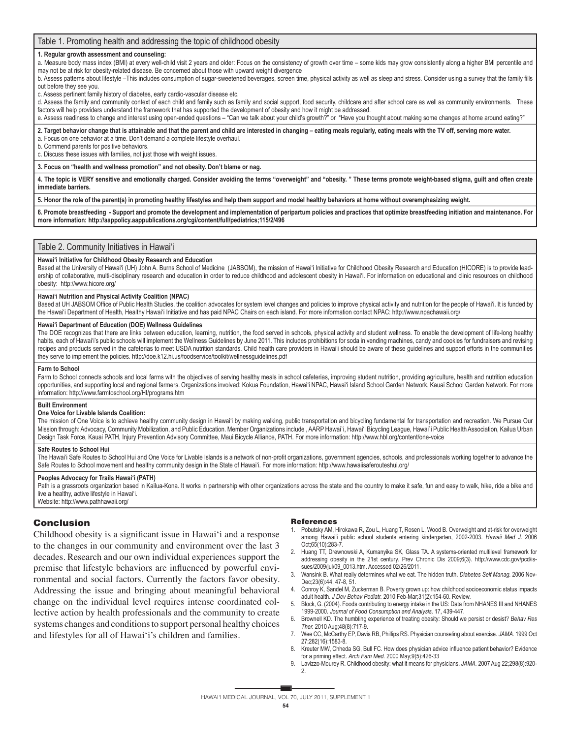## Table 1. Promoting health and addressing the topic of childhood obesity

#### **1. Regular growth assessment and counseling:**

a. Measure body mass index (BMI) at every well-child visit 2 years and older: Focus on the consistency of growth over time – some kids may grow consistently along a higher BMI percentile and may not be at risk for obesity-related disease. Be concerned about those with upward weight divergence

b. Assess patterns about lifestyle -This includes consumption of sugar-sweetened beverages, screen time, physical activity as well as sleep and stress. Consider using a survey that the family fills out before they see you.

c. Assess pertinent family history of diabetes, early cardio-vascular disease etc.

d. Assess the family and community context of each child and family such as family and social support, food security, childcare and after school care as well as community environments. These factors will help providers understand the framework that has supported the development of obesity and how it might be addressed.

e. Assess readiness to change and interest using open-ended questions – "Can we talk about your child's growth?" or "Have you thought about making some changes at home around eating?"

#### **2. Target behavior change that is attainable and that the parent and child are interested in changing – eating meals regularly, eating meals with the TV off, serving more water.** a. Focus on one behavior at a time. Don't demand a complete lifestyle overhaul.

b. Commend parents for positive behaviors.

c. Discuss these issues with families, not just those with weight issues.

**3. Focus on "health and wellness promotion" and not obesity. Don't blame or nag.**

**4. The topic is VERY sensitive and emotionally charged. Consider avoiding the terms "overweight" and "obesity. " These terms promote weight-based stigma, guilt and often create immediate barriers.**

**5. Honor the role of the parent(s) in promoting healthy lifestyles and help them support and model healthy behaviors at home without overemphasizing weight.**

**6. Promote breastfeeding - Support and promote the development and implementation of peripartum policies and practices that optimize breastfeeding initiation and maintenance. For more information: http://aappolicy.aappublications.org/cgi/content/full/pediatrics;115/2/496**

#### Table 2. Community Initiatives in Hawai'i

#### **Hawai'i Initiative for Childhood Obesity Research and Education**

Based at the University of Hawai'i (UH) John A. Burns School of Medicine (JABSOM), the mission of Hawai'i Initiative for Childhood Obesity Research and Education (HICORE) is to provide leadership of collaborative, multi-disciplinary research and education in order to reduce childhood and adolescent obesity in Hawai'i. For information on educational and clinic resources on childhood obesity: http://www.hicore.org/

#### **Hawai'i Nutrition and Physical Activity Coalition (NPAC)**

Based at UH JABSOM Office of Public Health Studies, the coalition advocates for system level changes and policies to improve physical activity and nutrition for the people of Hawai'i. It is funded by the Hawai'i Department of Health, Healthy Hawai'i Initiative and has paid NPAC Chairs on each island. For more information contact NPAC: http://www.npachawaii.org/

#### **Hawai'i Department of Education (DOE) Wellness Guidelines**

The DOE recognizes that there are links between education, learning, nutrition, the food served in schools, physical activity and student wellness. To enable the development of life-long healthy habits, each of Hawai'i's public schools will implement the Wellness Guidelines by June 2011. This includes prohibitions for soda in vending machines, candy and cookies for fundraisers and revising recipes and products served in the cafeterias to meet USDA nutrition standards. Child health care providers in Hawai'i should be aware of these guidelines and support efforts in the communities they serve to implement the policies. http://doe.k12.hi.us/foodservice/toolkit/wellnessguidelines.pdf

#### **Farm to School**

Farm to School connects schools and local farms with the objectives of serving healthy meals in school cafeterias, improving student nutrition, providing agriculture, health and nutrition education opportunities, and supporting local and regional farmers. Organizations involved: Kokua Foundation, Hawai'i NPAC, Hawai'i Island School Garden Network, Kauai School Garden Network. For more information: http://www.farmtoschool.org/HI/programs.htm

#### **Built Environment**

#### **One Voice for Livable Islands Coalition:**

The mission of One Voice is to achieve healthy community design in Hawai'i by making walking, public transportation and bicycling fundamental for transportation and recreation. We Pursue Our Mission through: Advocacy, Community Mobilization, and Public Education. Member Organizations include , AARP Hawai`i, Hawai'i Bicycling League, Hawai`i Public Health Association, Kailua Urban Design Task Force, Kauai PATH, Injury Prevention Advisory Committee, Maui Bicycle Alliance, PATH. For more information: http://www.hbl.org/content/one-voice

#### **Safe Routes to School Hui**

The Hawai'i Safe Routes to School Hui and One Voice for Livable Islands is a network of non-profit organizations, government agencies, schools, and professionals working together to advance the Safe Routes to School movement and healthy community design in the State of Hawai'i. For more information: http://www.hawaiisaferouteshui.org/

#### **Peoples Advocacy for Trails Hawai'i (PATH)**

Path is a grassroots organization based in Kailua-Kona. It works in partnership with other organizations across the state and the country to make it safe, fun and easy to walk, hike, ride a bike and live a healthy, active lifestyle in Hawai'i.

Website: http://www.pathhawaii.org/

# Conclusion

Childhood obesity is a significant issue in Hawai'i and a response to the changes in our community and environment over the last 3 decades. Research and our own individual experiences support the premise that lifestyle behaviors are influenced by powerful environmental and social factors. Currently the factors favor obesity. Addressing the issue and bringing about meaningful behavioral change on the individual level requires intense coordinated collective action by health professionals and the community to create systems changes and conditions to support personal healthy choices and lifestyles for all of Hawai'i's children and families.

#### **References**

- 1. Pobutsky AM, Hirokawa R, Zou L, Huang T, Rosen L, Wood B. Overweight and at-risk for overweight among Hawai'i public school students entering kindergarten, 2002-2003. *Hawaii Med J.* 2006 Oct;65(10):283-7.
- 2. Huang TT, Drewnowski A, Kumanyika SK, Glass TA. A systems-oriented multilevel framework for addressing obesity in the 21st century. Prev Chronic Dis 2009;6(3). http://www.cdc.gov/pcd/issues/2009/jul/09\_0013.htm. Accessed 02/26/2011.
- 3. Wansink B. What really determines what we eat. The hidden truth. *Diabetes Self Manag.* 2006 Nov-Dec;23(6):44, 47-8, 51.
- 4. Conroy K, Sandel M, Zuckerman B. Poverty grown up: how childhood socioeconomic status impacts adult health. *J Dev Behav Pediatr.* 2010 Feb-Mar;31(2):154-60. Review.
- 5. Block, G. (2004). Foods contributing to energy intake in the US: Data from NHANES III and NHANES 1999-2000. *Journal of Food Consumption and Analysis,* 17, 439-447.
- 6. Brownell KD. The humbling experience of treating obesity: Should we persist or desist? *Behav Res Ther.* 2010 Aug;48(8):717-9.
- 7. Wee CC, McCarthy EP, Davis RB, Phillips RS. Physician counseling about exercise. *JAMA.* 1999 Oct 27;282(16):1583-8.
- 8. Kreuter MW, Chheda SG, Bull FC. How does physician advice influence patient behavior? Evidence for a priming effect. *Arch Fam Med.* 2000 May;9(5):426-33
- 9. Lavizzo-Mourey R. Childhood obesity: what it means for physicians. *JAMA.* 2007 Aug 22;298(8):920- 2.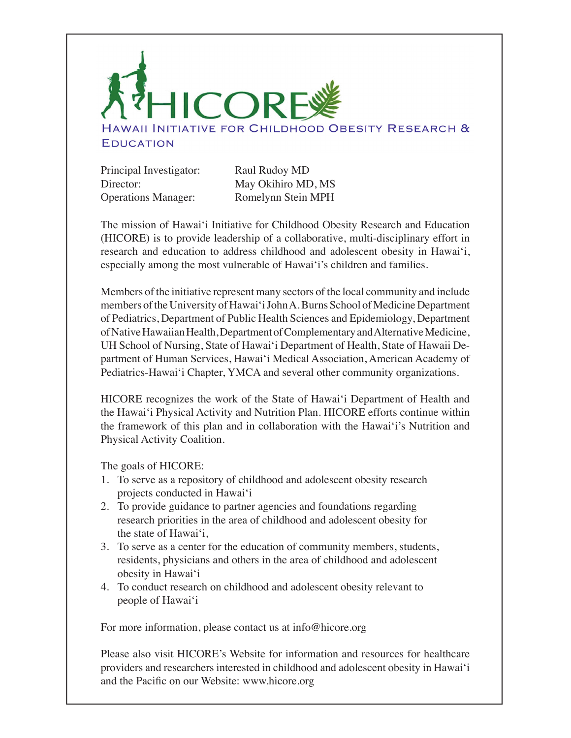

Principal Investigator: Raul Rudoy MD Director: May Okihiro MD, MS Operations Manager: Romelynn Stein MPH

The mission of Hawai'i Initiative for Childhood Obesity Research and Education (HICORE) is to provide leadership of a collaborative, multi-disciplinary effort in research and education to address childhood and adolescent obesity in Hawai'i, especially among the most vulnerable of Hawai'i's children and families.

Members of the initiative represent many sectors of the local community and include members of the University of Hawai'i John A. Burns School of Medicine Department of Pediatrics, Department of Public Health Sciences and Epidemiology, Department of Native Hawaiian Health, Department of Complementary and Alternative Medicine, UH School of Nursing, State of Hawai'i Department of Health, State of Hawaii Department of Human Services, Hawai'i Medical Association, American Academy of Pediatrics-Hawai'i Chapter, YMCA and several other community organizations.

HICORE recognizes the work of the State of Hawai'i Department of Health and the Hawai'i Physical Activity and Nutrition Plan. HICORE efforts continue within the framework of this plan and in collaboration with the Hawai'i's Nutrition and Physical Activity Coalition.

The goals of HICORE:

- 1. To serve as a repository of childhood and adolescent obesity research projects conducted in Hawai'i
- 2. To provide guidance to partner agencies and foundations regarding research priorities in the area of childhood and adolescent obesity for the state of Hawai'i,
- 3. To serve as a center for the education of community members, students, residents, physicians and others in the area of childhood and adolescent obesity in Hawai'i
- 4. To conduct research on childhood and adolescent obesity relevant to people of Hawai'i

For more information, please contact us at info@hicore.org

Please also visit HICORE's Website for information and resources for healthcare providers and researchers interested in childhood and adolescent obesity in Hawai'i and the Pacific on our Website: www.hicore.org